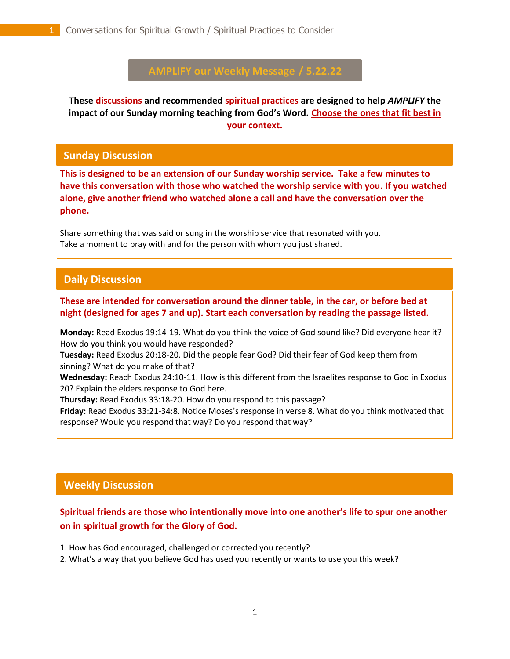# **AMPLIFY our Weekly Message / 5.22.22**

**These discussions and recommended spiritual practices are designed to help** *AMPLIFY* **the impact of our Sunday morning teaching from God's Word. Choose the ones that fit best in your context.**

#### **Sunday Discussion**

**This is designed to be an extension of our Sunday worship service. Take a few minutes to have this conversation with those who watched the worship service with you. If you watched alone, give another friend who watched alone a call and have the conversation over the phone.**

Share something that was said or sung in the worship service that resonated with you. Take a moment to pray with and for the person with whom you just shared.

## **Daily Discussion**

. **These are intended for conversation around the dinner table, in the car, or before bed at night (designed for ages 7 and up). Start each conversation by reading the passage listed.**

**Monday:** Read Exodus 19:14-19. What do you think the voice of God sound like? Did everyone hear it? How do you think you would have responded?

**Tuesday:** Read Exodus 20:18-20. Did the people fear God? Did their fear of God keep them from sinning? What do you make of that?

**Wednesday:** Reach Exodus 24:10-11. How is this different from the Israelites response to God in Exodus 20? Explain the elders response to God here.

**Thursday:** Read Exodus 33:18-20. How do you respond to this passage?

**Friday:** Read Exodus 33:21-34:8. Notice Moses's response in verse 8. What do you think motivated that response? Would you respond that way? Do you respond that way?

## **Weekly Discussion**

**Spiritual friends are those who intentionally move into one another's life to spur one another on in spiritual growth for the Glory of God.** 

1. How has God encouraged, challenged or corrected you recently?

2. What's a way that you believe God has used you recently or wants to use you this week?